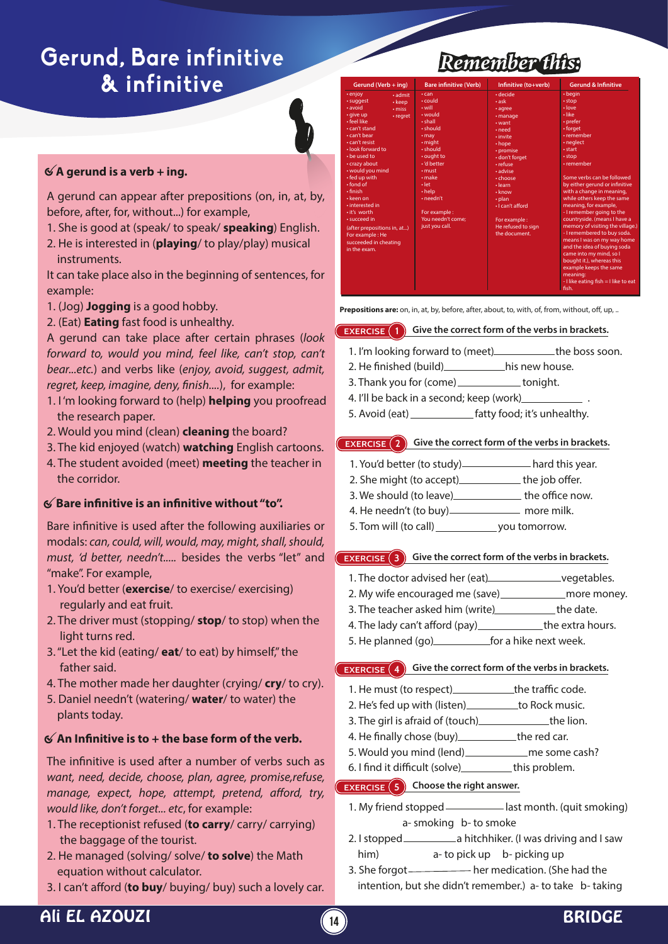# **Gerund, Bare infinitive**  $&$  infinitive

# **A gerund is a verb + ing.**

A gerund can appear after prepositions (on, in, at, by, before, after, for, without...) for example,

- 1. She is good at (speak/ to speak/ **speaking**) English.
- 2. He is interested in (**playing**/ to play/play) musical instruments.

It can take place also in the beginning of sentences, for example:

- 1. (Jog) **Jogging** is a good hobby.
- 2. (Eat) **Eating** fast food is unhealthy.

A gerund can take place after certain phrases (*look forward to, would you mind, feel like, can't stop, can't bear...etc.*) and verbs like (*enjoy, avoid, suggest, admit, regret, keep, imagine, deny, finish....*), for example:

- 1. I 'm looking forward to (help) **helping** you proofread the research paper.
- 2. Would you mind (clean) **cleaning** the board?
- 3. The kid enjoyed (watch) **watching** English cartoons. 4. The student avoided (meet) **meeting** the teacher in the corridor.

# **Bare innitive is an innitive without "to".**

Bare infinitive is used after the following auxiliaries or modals: *can, could, will, would, may, might, shall, should, must, 'd better, needn't.....* besides the verbs "let" and "make". For example,

- 1. You'd better (**exercise**/ to exercise/ exercising) regularly and eat fruit.
- 2. The driver must (stopping/ **stop**/ to stop) when the light turns red.
- 3. "Let the kid (eating/ **eat**/ to eat) by himself," the father said.
- 4. The mother made her daughter (crying/ **cry**/ to cry).
- 5. Daniel needn't (watering/ **water**/ to water) the plants today.

# **An Innitive is to + the base form of the verb.**

The infinitive is used after a number of verbs such as *want, need, decide, choose, plan, agree, promise,refuse, manage, expect, hope, attempt, pretend, afford, try, would like, don't forget... etc*, for example:

- 1. The receptionist refused (**to carry**/ carry/ carrying) the baggage of the tourist.
- 2. He managed (solving/ solve/ **to solve**) the Math equation without calculator.
- 3. I can't afford (**to buy**/ buying/ buy) such a lovely car.

# *Remember this:*

| Gerund (Verb + ing)                                                                                                                                                                                                                                                                                                                                                                                                                                              | <b>Bare infinitive (Verb)</b>                                                                                                                                                                                                                                                               | Infinitive (to+verb)                                                                                                                                                                                                                                                                    | <b>Gerund &amp; Infinitive</b>                                                                                                                                                                                                                                                                                                                                                                                                                                                                                                                                                                                                                |
|------------------------------------------------------------------------------------------------------------------------------------------------------------------------------------------------------------------------------------------------------------------------------------------------------------------------------------------------------------------------------------------------------------------------------------------------------------------|---------------------------------------------------------------------------------------------------------------------------------------------------------------------------------------------------------------------------------------------------------------------------------------------|-----------------------------------------------------------------------------------------------------------------------------------------------------------------------------------------------------------------------------------------------------------------------------------------|-----------------------------------------------------------------------------------------------------------------------------------------------------------------------------------------------------------------------------------------------------------------------------------------------------------------------------------------------------------------------------------------------------------------------------------------------------------------------------------------------------------------------------------------------------------------------------------------------------------------------------------------------|
| • enjoy<br>$\cdot$ admit<br>· suggest<br>• keep<br>· avoid<br>$\cdot$ miss<br>· give up<br>• regret<br>· feel like<br>$\cdot$ can't stand<br>· can't bear<br>· can't resist<br>· look forward to<br>. he used to<br>· crazy about<br>• would you mind<br>• fed up with<br>$\cdot$ fond of<br>• finish<br>• keen on<br>• interested in<br>• it's worth<br>· succeed in<br>(after prepositions in, at)<br>For example: He<br>succeeded in cheating<br>in the exam. | $\cdot$ can<br>$\cdot$ could<br>• will<br>· would<br>· shall<br>· should<br>$\cdot$ may<br>$\cdot$ might<br>· should<br>• ought to<br>· 'd better<br>$\cdot$ must<br>$\cdot$ make<br>$\cdot$ let<br>$\cdot$ help<br>$\cdot$ needn't<br>For example :<br>You needn't come:<br>just you call. | · decide<br>$\cdot$ ask<br>· agree<br>· manage<br>$\cdot$ want<br>• need<br>• invite<br>• hope<br>• promise<br>· don't forget<br>· refuse<br>· advise<br>· choose<br>· learn<br>$\cdot$ know<br>$\cdot$ plan<br>· I can't afford<br>For example:<br>He refused to sign<br>the document. | $\cdot$ beain<br>$\cdot$ stop<br>$\cdot$ love<br>• like<br>• prefer<br>• forget<br>• remember<br>· neglect<br>• start<br>· stop<br>• remember<br>Some verbs can be followed<br>by either gerund or infinitive<br>with a change in meaning,<br>while others keep the same<br>meaning, for example,<br>- I remember going to the<br>countryside. (means I have a<br>memory of visiting the village.)<br>- I remembered to buy soda.<br>means I was on my way home<br>and the idea of buying soda<br>came into my mind, so I<br>bought it.), whereas this<br>example keeps the same<br>meaning:<br>- I like eating fish = I like to eat<br>fish. |

**Prepositions are:** on, in, at, by, before, after, about, to, with, of, from, without, off, up, ..

#### **EXERCISE** 1 **Give the correct form of the verbs in brackets.**

- 1. I'm looking forward to (meet) the boss soon.
- 2. He finished (build) his new house.
- 3. Thank you for (come) \_\_\_\_\_\_\_\_\_\_\_ tonight.
- 4. I'll be back in a second; keep (work)
- 5. Avoid (eat) \_\_\_\_\_\_\_\_\_\_\_\_\_\_\_ fatty food; it's unhealthy.

#### **EXERCISE** 2 **Give the correct form of the verbs in brackets.**

- 1. You'd better (to study) hard this year.
- 2. She might (to accept)\_\_\_\_\_\_\_\_\_\_\_\_ the job offer.
- 3. We should (to leave) state the office now.
- 4. He needn't (to buy) **\_\_\_\_\_\_\_\_\_\_\_** more milk.
- 5. Tom will (to call) \_\_\_\_\_\_\_\_\_\_\_\_\_\_ you tomorrow.

#### **EXERCISE 3 Give the correct form of the verbs in brackets.**

- 1. The doctor advised her (eat) vegetables.
- 2. My wife encouraged me (save)\_\_\_\_\_\_\_\_\_\_\_\_\_\_ more money.
- 3. The teacher asked him (write) the date.
- 4. The lady can't afford (pay)\_\_\_\_\_\_\_\_\_\_\_\_the extra hours.
- 5. He planned (go)\_\_\_\_\_\_\_\_\_\_\_\_\_\_\_for a hike next week.

#### **EXERCISE 4 Give the correct form of the verbs in brackets.**

- 1. He must (to respect) the traffic code.
- 2. He's fed up with (listen) to Rock music.
- 3. The girl is afraid of (touch) the lion.
- 4. He finally chose (buy) \_\_\_\_\_\_\_\_\_\_\_\_ the red car.
- 5. Would you mind (lend) \_\_\_\_\_\_\_\_\_\_\_\_\_\_ me some cash?
- 6. I find it difficult (solve) this problem.

### **EXERCISE 5 Choose the right answer.**

- 1. My friend stopped \_\_\_\_\_\_\_\_\_ last month. (quit smoking) a- smoking b- to smoke
- 2. I stopped \_\_\_\_\_\_\_\_\_\_\_\_\_\_\_ a hitchhiker. (I was driving and I saw him) a- to pick up b- picking up
- 3. She forgot \_\_\_\_\_\_\_\_\_\_\_ her medication. (She had the intention, but she didn't remember.) a- to take b- taking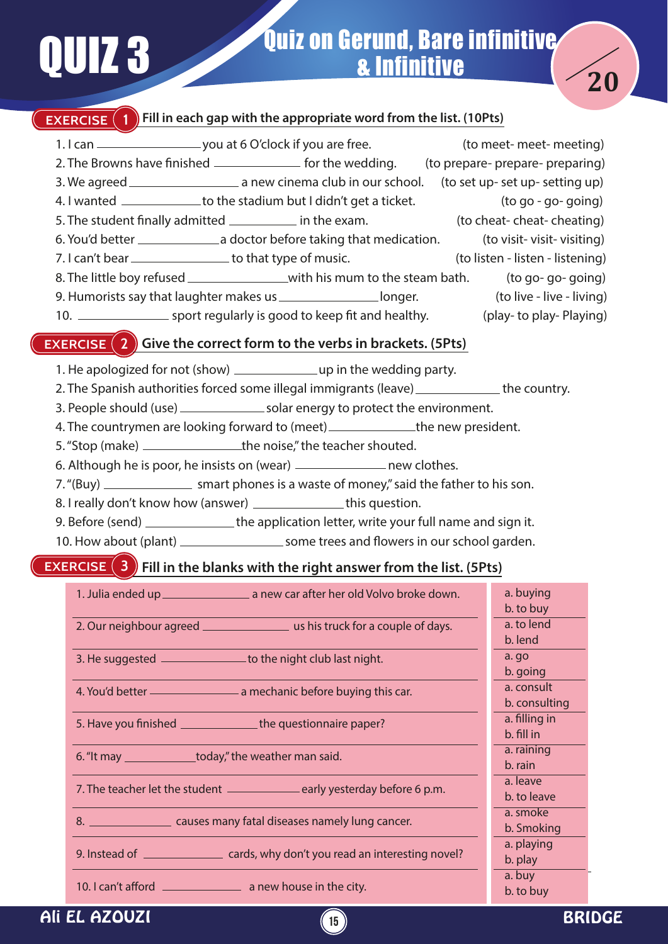# **Quiz on Gerund, Bare infinitive** & Infinitive



# **EXERCISE** (1) Fill in each gap with the appropriate word from the list. (10Pts)

1. I can \_\_\_\_\_\_\_\_\_\_\_\_\_\_\_\_\_\_\_\_\_\_\_\_\_you at 6 O'clock if you are free. (to meet- meet- meeting) 2. The Browns have finished \_\_\_\_\_\_\_\_\_\_\_\_\_\_\_\_ for the wedding. (to prepare- prepare- preparing) 3. We agreed a new cinema club in our school. (to set up- set up- setting up) 4. I wanted \_\_\_\_\_\_\_\_\_\_\_\_\_to the stadium but I didn't get a ticket. (to go - go- going) 5. The student finally admitted \_\_\_\_\_\_\_\_\_\_\_\_ in the exam. (to cheat- cheat- cheating) 6. You'd better a doctor before taking that medication. (to visit- visit- visiting) 7. I can't bear <u>end of the type of music.</u> (to listen - listen - listening) 8. The little boy refused \_\_\_\_\_\_\_\_\_\_\_\_\_\_\_\_\_with his mum to the steam bath. (to go- go- going) 9. Humorists say that laughter makes us \_\_\_\_\_\_\_\_\_\_\_\_\_\_\_\_\_\_longer. (to live - live - living) 10. Sport regularly is good to keep fit and healthy. (play- to play- Playing)

## **EXERCISE (2)** Give the correct form to the verbs in brackets. (5Pts)

- 1. He apologized for not (show)  $\angle$  1. He wedding party.
- 2. The Spanish authorities forced some illegal immigrants (leave) \_\_\_\_\_\_\_\_\_\_\_\_\_\_ the country.
- 3. People should (use) solar energy to protect the environment.
- 4. The countrymen are looking forward to (meet) \_\_\_\_\_\_\_\_\_\_\_\_\_\_\_the new president.
- 5. "Stop (make) \_\_\_\_\_\_\_\_\_\_\_\_\_\_\_\_\_\_\_\_the noise," the teacher shouted.
- 6. Although he is poor, he insists on (wear) \_\_\_\_\_\_\_\_\_\_\_\_\_\_\_\_\_\_\_\_ new clothes.
- 7. "(Buy) \_\_\_\_\_\_\_\_\_\_\_\_\_\_\_\_\_ smart phones is a waste of money," said the father to his son.
- 8. I really don't know how (answer) \_\_\_\_\_\_\_\_\_\_\_\_\_\_this question.
- 9. Before (send) \_\_\_\_\_\_\_\_\_\_\_\_\_\_\_the application letter, write your full name and sign it.
- 10. How about (plant) some trees and owers in our school garden.

## **EXERCISE 3 Fill in the blanks with the right answer from the list. (5Pts)**

| 1. Julia ended up 1. Marriagn a new car after her old Volvo broke down.              | a. buying     |
|--------------------------------------------------------------------------------------|---------------|
|                                                                                      | b. to buy     |
|                                                                                      | a. to lend    |
|                                                                                      | b. lend       |
| 3. He suggested ________________ to the night club last night.                       | a. go         |
|                                                                                      | b. going      |
|                                                                                      | a. consult    |
|                                                                                      | b. consulting |
| 5. Have you finished ___________________the questionnaire paper?                     | a. filling in |
|                                                                                      | b. fill in    |
| 6. "It may _______________today," the weather man said.                              | a. raining    |
|                                                                                      | b. rain       |
| 7. The teacher let the student _________________early yesterday before 6 p.m.        | a. leave      |
|                                                                                      | b. to leave   |
| 8. ______________________ causes many fatal diseases namely lung cancer.             | a. smoke      |
|                                                                                      | b. Smoking    |
|                                                                                      | a. playing    |
| 9. Instead of ______________________ cards, why don't you read an interesting novel? | b. play       |
|                                                                                      | a. buy        |
|                                                                                      | b. to buy     |

**15**

# Ali EL AZOUZI BRIDGE